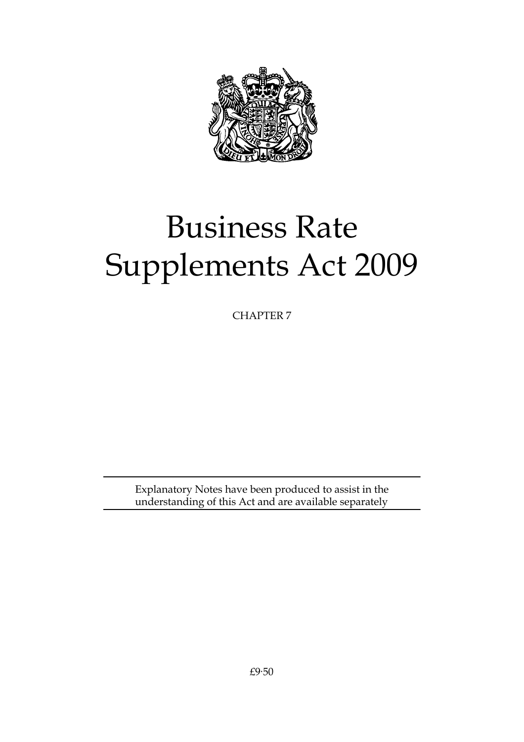

# Business Rate Supplements Act 2009

CHAPTER 7

Explanatory Notes have been produced to assist in the understanding of this Act and are available separately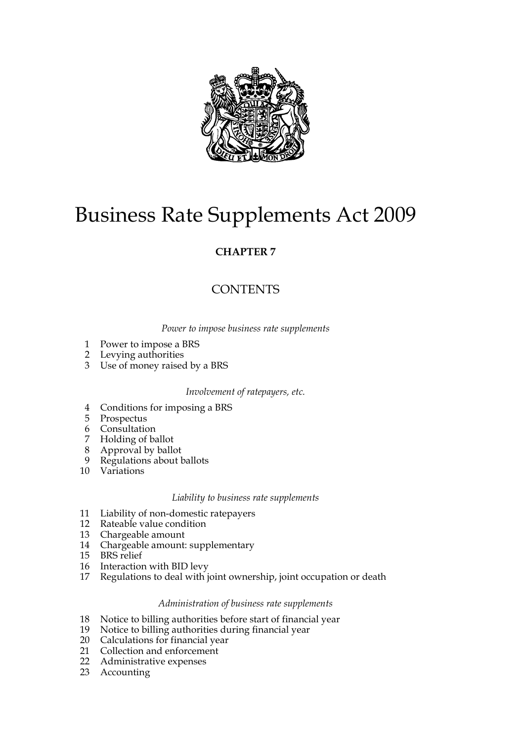

# Business Rate Supplements Act 2009

### **CHAPTER 7**

## **CONTENTS**

*Power to impose business rate supplements*

- 1 Power to impose a BRS
- 2 Levying authorities
- 3 Use of money raised by a BRS

#### *Involvement of ratepayers, etc.*

- 4 Conditions for imposing a BRS
- 5 Prospectus
- 6 Consultation
- 7 Holding of ballot
- 8 Approval by ballot
- 9 Regulations about ballots
- 10 Variations

#### *Liability to business rate supplements*

- 11 Liability of non-domestic ratepayers
- 12 Rateable value condition
- 13 Chargeable amount
- 14 Chargeable amount: supplementary
- 15 BRS relief
- 16 Interaction with BID levy
- 17 Regulations to deal with joint ownership, joint occupation or death

#### *Administration of business rate supplements*

- 18 Notice to billing authorities before start of financial year
- 19 Notice to billing authorities during financial year
- 20 Calculations for financial year
- 21 Collection and enforcement
- 22 Administrative expenses
- 23 Accounting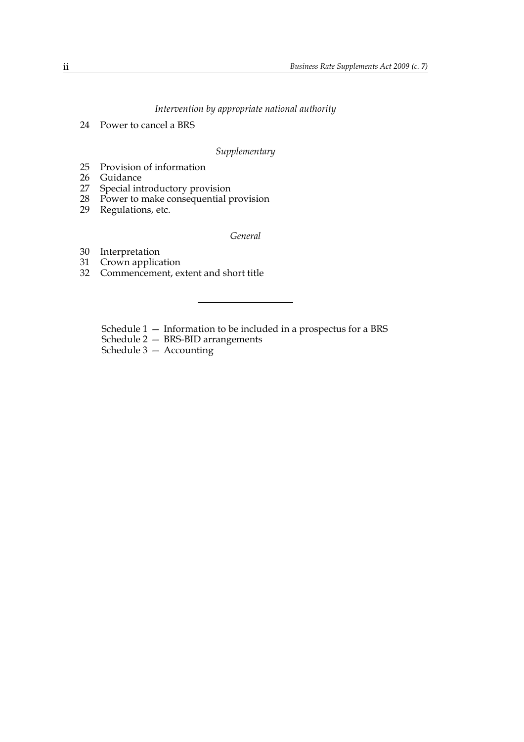#### *Intervention by appropriate national authority*

24 Power to cancel a BRS

#### *Supplementary*

- 25 Provision of information
- 26 Guidance
- 27 Special introductory provision
- 28 Power to make consequential provision
- 29 Regulations, etc.

*General*

- 30 Interpretation
- 31 Crown application
- 32 Commencement, extent and short title
	- Schedule 1 Information to be included in a prospectus for a BRS
	- Schedule 2 BRS-BID arrangements
	- Schedule 3 Accounting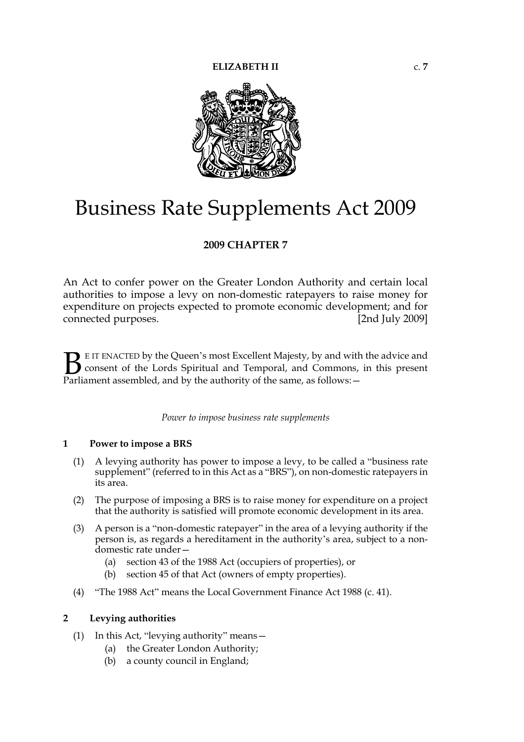

# Business Rate Supplements Act 2009

#### **2009 CHAPTER 7**

An Act to confer power on the Greater London Authority and certain local authorities to impose a levy on non-domestic ratepayers to raise money for expenditure on projects expected to promote economic development; and for connected purposes. [2nd July 2009]

E IT ENACTED by the Queen's most Excellent Majesty, by and with the advice and consent of the Lords Spiritual and Temporal, and Commons, in this present **B** E IT ENACTED by the Queen's most Excellent Majesty, by and with consent of the Lords Spiritual and Temporal, and Commons, Parliament assembled, and by the authority of the same, as follows:

*Power to impose business rate supplements*

#### **1 Power to impose a BRS**

- (1) A levying authority has power to impose a levy, to be called a "business rate supplement" (referred to in this Act as a "BRS"), on non-domestic ratepayers in its area.
- (2) The purpose of imposing a BRS is to raise money for expenditure on a project that the authority is satisfied will promote economic development in its area.
- (3) A person is a "non-domestic ratepayer" in the area of a levying authority if the person is, as regards a hereditament in the authority's area, subject to a nondomestic rate under—
	- (a) section 43 of the 1988 Act (occupiers of properties), or
	- (b) section 45 of that Act (owners of empty properties).
- (4) "The 1988 Act" means the Local Government Finance Act 1988 (c. 41).

#### **2 Levying authorities**

- (1) In this Act, "levying authority" means—
	- (a) the Greater London Authority;
	- (b) a county council in England;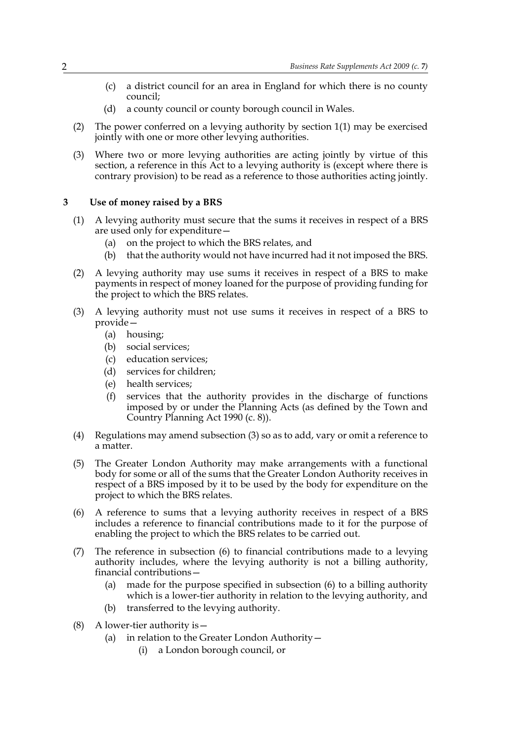- (c) a district council for an area in England for which there is no county council;
- (d) a county council or county borough council in Wales.
- (2) The power conferred on a levying authority by section 1(1) may be exercised jointly with one or more other levying authorities.
- (3) Where two or more levying authorities are acting jointly by virtue of this section, a reference in this Act to a levying authority is (except where there is contrary provision) to be read as a reference to those authorities acting jointly.

#### **3 Use of money raised by a BRS**

- (1) A levying authority must secure that the sums it receives in respect of a BRS are used only for expenditure—
	- (a) on the project to which the BRS relates, and
	- (b) that the authority would not have incurred had it not imposed the BRS.
- (2) A levying authority may use sums it receives in respect of a BRS to make payments in respect of money loaned for the purpose of providing funding for the project to which the BRS relates.
- (3) A levying authority must not use sums it receives in respect of a BRS to provide—
	- (a) housing;
	- (b) social services;
	- (c) education services;
	- (d) services for children;
	- (e) health services;
	- (f) services that the authority provides in the discharge of functions imposed by or under the Planning Acts (as defined by the Town and Country Planning Act 1990 (c. 8)).
- (4) Regulations may amend subsection (3) so as to add, vary or omit a reference to a matter.
- (5) The Greater London Authority may make arrangements with a functional body for some or all of the sums that the Greater London Authority receives in respect of a BRS imposed by it to be used by the body for expenditure on the project to which the BRS relates.
- (6) A reference to sums that a levying authority receives in respect of a BRS includes a reference to financial contributions made to it for the purpose of enabling the project to which the BRS relates to be carried out.
- (7) The reference in subsection (6) to financial contributions made to a levying authority includes, where the levying authority is not a billing authority, financial contributions—
	- (a) made for the purpose specified in subsection (6) to a billing authority which is a lower-tier authority in relation to the levying authority, and
	- (b) transferred to the levying authority.
- (8) A lower-tier authority is—
	- (a) in relation to the Greater London Authority—
		- (i) a London borough council, or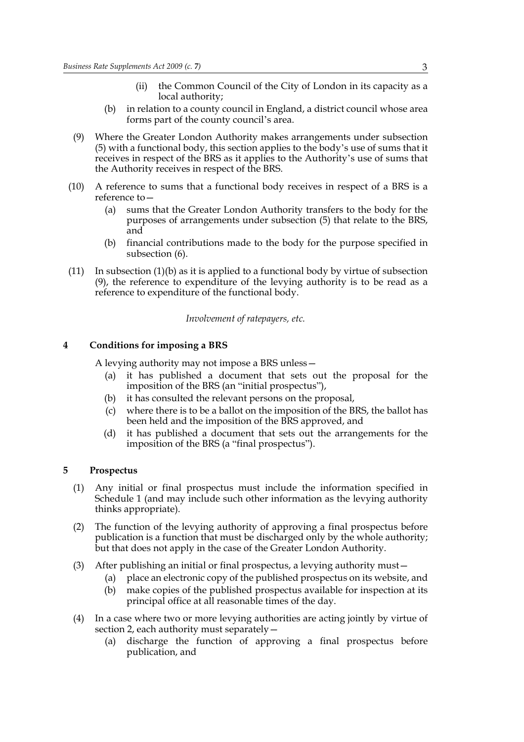- (ii) the Common Council of the City of London in its capacity as a local authority;
- (b) in relation to a county council in England, a district council whose area forms part of the county council's area.
- (9) Where the Greater London Authority makes arrangements under subsection (5) with a functional body, this section applies to the body's use of sums that it receives in respect of the BRS as it applies to the Authority's use of sums that the Authority receives in respect of the BRS.
- (10) A reference to sums that a functional body receives in respect of a BRS is a reference to—
	- (a) sums that the Greater London Authority transfers to the body for the purposes of arrangements under subsection (5) that relate to the BRS, and
	- (b) financial contributions made to the body for the purpose specified in subsection (6).
- $(11)$  In subsection  $(1)(b)$  as it is applied to a functional body by virtue of subsection (9), the reference to expenditure of the levying authority is to be read as a reference to expenditure of the functional body.

*Involvement of ratepayers, etc.*

#### **4 Conditions for imposing a BRS**

A levying authority may not impose a BRS unless—

- (a) it has published a document that sets out the proposal for the imposition of the BRS (an "initial prospectus"),
- (b) it has consulted the relevant persons on the proposal,
- (c) where there is to be a ballot on the imposition of the BRS, the ballot has been held and the imposition of the BRS approved, and
- (d) it has published a document that sets out the arrangements for the imposition of the BRS (a "final prospectus").

#### **5 Prospectus**

- (1) Any initial or final prospectus must include the information specified in Schedule 1 (and may include such other information as the levying authority thinks appropriate).
- (2) The function of the levying authority of approving a final prospectus before publication is a function that must be discharged only by the whole authority; but that does not apply in the case of the Greater London Authority.
- (3) After publishing an initial or final prospectus, a levying authority must—
	- (a) place an electronic copy of the published prospectus on its website, and
	- (b) make copies of the published prospectus available for inspection at its principal office at all reasonable times of the day.
- (4) In a case where two or more levying authorities are acting jointly by virtue of section 2, each authority must separately—
	- (a) discharge the function of approving a final prospectus before publication, and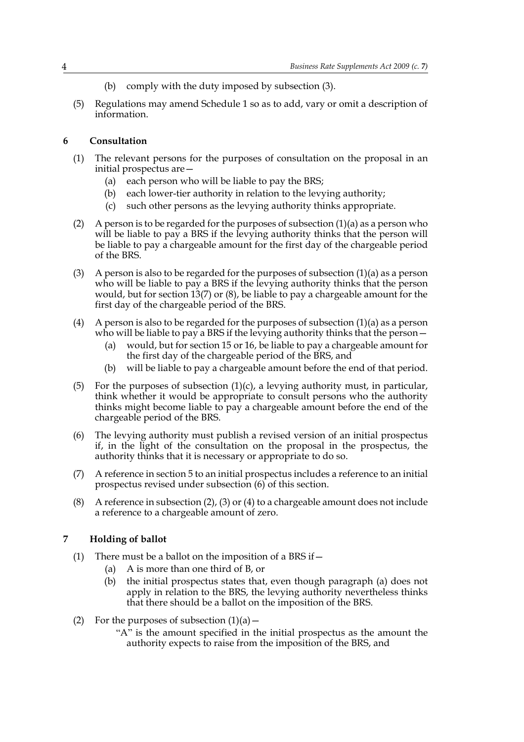- (b) comply with the duty imposed by subsection (3).
- (5) Regulations may amend Schedule 1 so as to add, vary or omit a description of information.

#### **6 Consultation**

- (1) The relevant persons for the purposes of consultation on the proposal in an initial prospectus are—
	- (a) each person who will be liable to pay the BRS;
	- (b) each lower-tier authority in relation to the levying authority;
	- (c) such other persons as the levying authority thinks appropriate.
- (2) A person is to be regarded for the purposes of subsection  $(1)(a)$  as a person who will be liable to pay a BRS if the levying authority thinks that the person will be liable to pay a chargeable amount for the first day of the chargeable period of the BRS.
- (3) A person is also to be regarded for the purposes of subsection  $(1)(a)$  as a person who will be liable to pay a BRS if the levying authority thinks that the person would, but for section 13(7) or (8), be liable to pay a chargeable amount for the first day of the chargeable period of the BRS.
- (4) A person is also to be regarded for the purposes of subsection  $(1)(a)$  as a person who will be liable to pay a BRS if the levying authority thinks that the person—
	- (a) would, but for section 15 or 16, be liable to pay a chargeable amount for the first day of the chargeable period of the BRS, and
	- (b) will be liable to pay a chargeable amount before the end of that period.
- (5) For the purposes of subsection  $(1)(c)$ , a levying authority must, in particular, think whether it would be appropriate to consult persons who the authority thinks might become liable to pay a chargeable amount before the end of the chargeable period of the BRS.
- (6) The levying authority must publish a revised version of an initial prospectus if, in the light of the consultation on the proposal in the prospectus, the authority thinks that it is necessary or appropriate to do so.
- (7) A reference in section 5 to an initial prospectus includes a reference to an initial prospectus revised under subsection (6) of this section.
- (8) A reference in subsection (2), (3) or (4) to a chargeable amount does not include a reference to a chargeable amount of zero.

#### **7 Holding of ballot**

- (1) There must be a ballot on the imposition of a BRS if  $-$ 
	- (a) A is more than one third of B, or
	- (b) the initial prospectus states that, even though paragraph (a) does not apply in relation to the BRS, the levying authority nevertheless thinks that there should be a ballot on the imposition of the BRS.
- (2) For the purposes of subsection  $(1)(a)$ 
	- "A" is the amount specified in the initial prospectus as the amount the authority expects to raise from the imposition of the BRS, and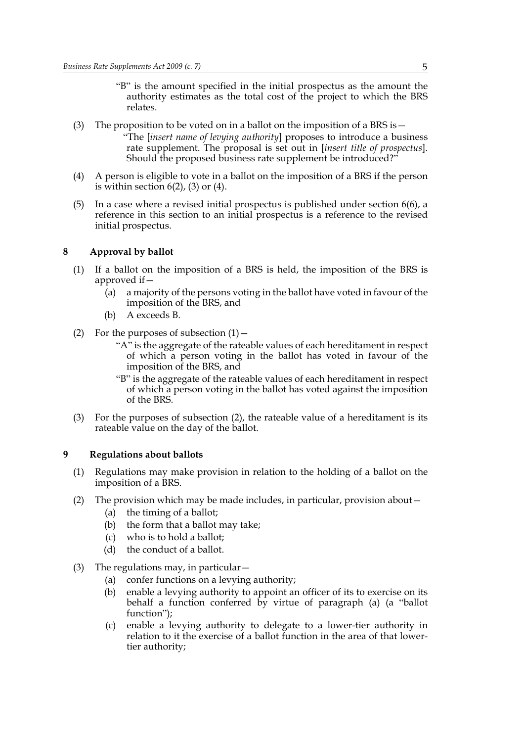- "B" is the amount specified in the initial prospectus as the amount the authority estimates as the total cost of the project to which the BRS relates.
- (3) The proposition to be voted on in a ballot on the imposition of a BRS is  $-$ "The [*insert name of levying authority*] proposes to introduce a business rate supplement. The proposal is set out in [*insert title of prospectus*]. Should the proposed business rate supplement be introduced?"
- (4) A person is eligible to vote in a ballot on the imposition of a BRS if the person is within section  $6(2)$ ,  $(3)$  or  $(4)$ .
- (5) In a case where a revised initial prospectus is published under section  $6(6)$ , a reference in this section to an initial prospectus is a reference to the revised initial prospectus.

#### **8 Approval by ballot**

- (1) If a ballot on the imposition of a BRS is held, the imposition of the BRS is approved if—
	- (a) a majority of the persons voting in the ballot have voted in favour of the imposition of the BRS, and
	- (b) A exceeds B.
- (2) For the purposes of subsection  $(1)$ 
	- "A" is the aggregate of the rateable values of each hereditament in respect of which a person voting in the ballot has voted in favour of the imposition of the BRS, and
	- "B" is the aggregate of the rateable values of each hereditament in respect of which a person voting in the ballot has voted against the imposition of the BRS.
- (3) For the purposes of subsection (2), the rateable value of a hereditament is its rateable value on the day of the ballot.

#### **9 Regulations about ballots**

- (1) Regulations may make provision in relation to the holding of a ballot on the imposition of a BRS.
- (2) The provision which may be made includes, in particular, provision about—
	- (a) the timing of a ballot;
	- (b) the form that a ballot may take;
	- (c) who is to hold a ballot;
	- (d) the conduct of a ballot.
- (3) The regulations may, in particular—
	- (a) confer functions on a levying authority;
	- (b) enable a levying authority to appoint an officer of its to exercise on its behalf a function conferred by virtue of paragraph (a) (a "ballot function");
	- (c) enable a levying authority to delegate to a lower-tier authority in relation to it the exercise of a ballot function in the area of that lowertier authority;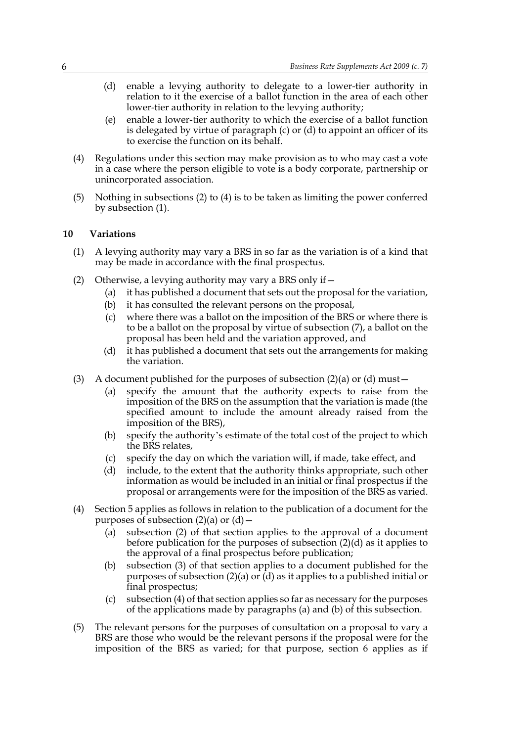- (d) enable a levying authority to delegate to a lower-tier authority in relation to it the exercise of a ballot function in the area of each other lower-tier authority in relation to the levying authority;
- (e) enable a lower-tier authority to which the exercise of a ballot function is delegated by virtue of paragraph (c) or (d) to appoint an officer of its to exercise the function on its behalf.
- (4) Regulations under this section may make provision as to who may cast a vote in a case where the person eligible to vote is a body corporate, partnership or unincorporated association.
- (5) Nothing in subsections (2) to (4) is to be taken as limiting the power conferred by subsection (1).

#### **10 Variations**

- (1) A levying authority may vary a BRS in so far as the variation is of a kind that may be made in accordance with the final prospectus.
- (2) Otherwise, a levying authority may vary a BRS only if—
	- (a) it has published a document that sets out the proposal for the variation,
	- (b) it has consulted the relevant persons on the proposal,
	- (c) where there was a ballot on the imposition of the BRS or where there is to be a ballot on the proposal by virtue of subsection (7), a ballot on the proposal has been held and the variation approved, and
	- (d) it has published a document that sets out the arrangements for making the variation.
- (3) A document published for the purposes of subsection  $(2)(a)$  or  $(d)$  must
	- (a) specify the amount that the authority expects to raise from the imposition of the BRS on the assumption that the variation is made (the specified amount to include the amount already raised from the imposition of the BRS),
	- (b) specify the authority's estimate of the total cost of the project to which the BRS relates,
	- (c) specify the day on which the variation will, if made, take effect, and
	- (d) include, to the extent that the authority thinks appropriate, such other information as would be included in an initial or final prospectus if the proposal or arrangements were for the imposition of the BRS as varied.
- (4) Section 5 applies as follows in relation to the publication of a document for the purposes of subsection  $(2)(a)$  or  $(d)$  –
	- (a) subsection (2) of that section applies to the approval of a document before publication for the purposes of subsection (2)(d) as it applies to the approval of a final prospectus before publication;
	- (b) subsection (3) of that section applies to a document published for the purposes of subsection (2)(a) or  $\overline{d}$ ) as it applies to a published initial or final prospectus;
	- (c) subsection (4) of that section applies so far as necessary for the purposes of the applications made by paragraphs (a) and (b) of this subsection.
- (5) The relevant persons for the purposes of consultation on a proposal to vary a BRS are those who would be the relevant persons if the proposal were for the imposition of the BRS as varied; for that purpose, section 6 applies as if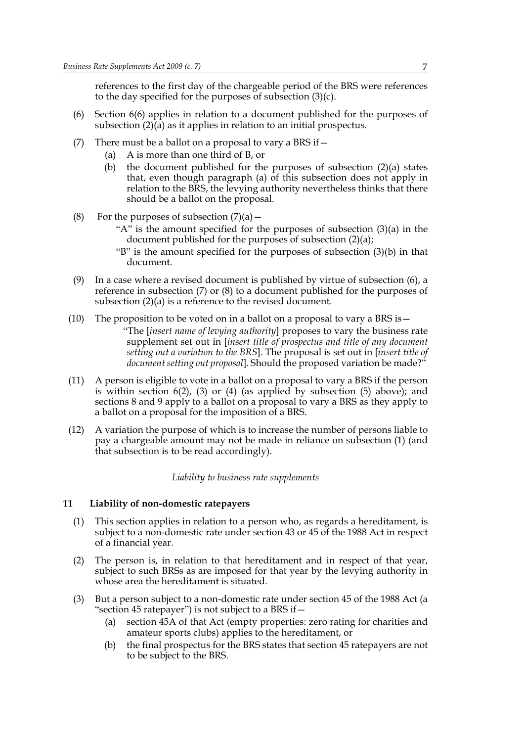references to the first day of the chargeable period of the BRS were references to the day specified for the purposes of subsection (3)(c).

- (6) Section 6(6) applies in relation to a document published for the purposes of subsection (2)(a) as it applies in relation to an initial prospectus.
- (7) There must be a ballot on a proposal to vary a BRS if  $-$ 
	- (a) A is more than one third of B, or
	- (b) the document published for the purposes of subsection (2)(a) states that, even though paragraph (a) of this subsection does not apply in relation to the BRS, the levying authority nevertheless thinks that there should be a ballot on the proposal.
- (8) For the purposes of subsection  $(7)(a)$ 
	- "A" is the amount specified for the purposes of subsection (3)(a) in the document published for the purposes of subsection (2)(a);
	- "B" is the amount specified for the purposes of subsection (3)(b) in that document.
- (9) In a case where a revised document is published by virtue of subsection (6), a reference in subsection (7) or (8) to a document published for the purposes of subsection (2)(a) is a reference to the revised document.
- (10) The proposition to be voted on in a ballot on a proposal to vary a BRS is  $-$ "The [*insert name of levying authority*] proposes to vary the business rate
	- supplement set out in [*insert title of prospectus and title of any document setting out a variation to the BRS*]. The proposal is set out in [*insert title of document setting out proposal*]. Should the proposed variation be made?"
- (11) A person is eligible to vote in a ballot on a proposal to vary a BRS if the person is within section  $6(2)$ ,  $(3)$  or  $(4)$  (as applied by subsection  $(5)$  above); and sections 8 and 9 apply to a ballot on a proposal to vary a BRS as they apply to a ballot on a proposal for the imposition of a BRS.
- (12) A variation the purpose of which is to increase the number of persons liable to pay a chargeable amount may not be made in reliance on subsection (1) (and that subsection is to be read accordingly).

#### *Liability to business rate supplements*

#### **11 Liability of non-domestic ratepayers**

- (1) This section applies in relation to a person who, as regards a hereditament, is subject to a non-domestic rate under section 43 or 45 of the 1988 Act in respect of a financial year.
- (2) The person is, in relation to that hereditament and in respect of that year, subject to such BRSs as are imposed for that year by the levying authority in whose area the hereditament is situated.
- (3) But a person subject to a non-domestic rate under section 45 of the 1988 Act (a "section 45 ratepayer") is not subject to a BRS if—
	- (a) section 45A of that Act (empty properties: zero rating for charities and amateur sports clubs) applies to the hereditament, or
	- (b) the final prospectus for the BRS states that section 45 ratepayers are not to be subject to the BRS.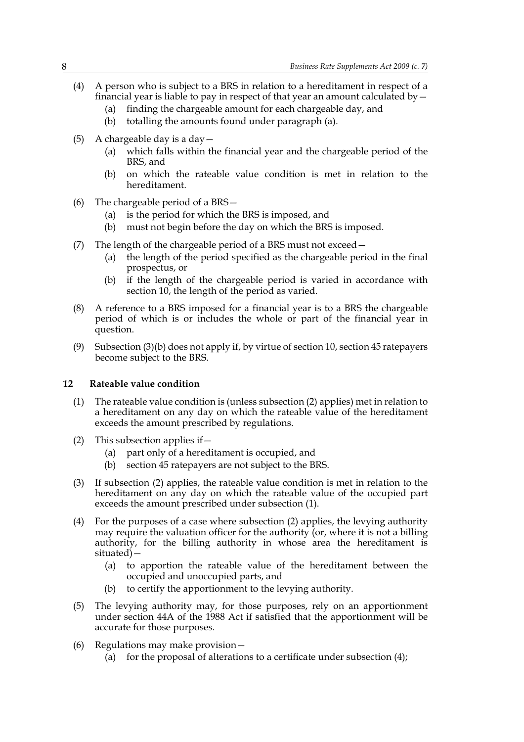- (4) A person who is subject to a BRS in relation to a hereditament in respect of a financial year is liable to pay in respect of that year an amount calculated by—
	- (a) finding the chargeable amount for each chargeable day, and
	- (b) totalling the amounts found under paragraph (a).
- (5) A chargeable day is a day  $-$ 
	- (a) which falls within the financial year and the chargeable period of the BRS, and
	- (b) on which the rateable value condition is met in relation to the hereditament.
- (6) The chargeable period of a BRS—
	- (a) is the period for which the BRS is imposed, and
	- (b) must not begin before the day on which the BRS is imposed.
- (7) The length of the chargeable period of a BRS must not exceed—
	- (a) the length of the period specified as the chargeable period in the final prospectus, or
	- (b) if the length of the chargeable period is varied in accordance with section 10, the length of the period as varied.
- (8) A reference to a BRS imposed for a financial year is to a BRS the chargeable period of which is or includes the whole or part of the financial year in question.
- (9) Subsection (3)(b) does not apply if, by virtue of section 10, section 45 ratepayers become subject to the BRS.

#### **12 Rateable value condition**

- (1) The rateable value condition is (unless subsection (2) applies) met in relation to a hereditament on any day on which the rateable value of the hereditament exceeds the amount prescribed by regulations.
- (2) This subsection applies if  $-$ 
	- (a) part only of a hereditament is occupied, and
	- (b) section 45 ratepayers are not subject to the BRS.
- (3) If subsection (2) applies, the rateable value condition is met in relation to the hereditament on any day on which the rateable value of the occupied part exceeds the amount prescribed under subsection (1).
- (4) For the purposes of a case where subsection (2) applies, the levying authority may require the valuation officer for the authority (or, where it is not a billing authority, for the billing authority in whose area the hereditament is situated)—
	- (a) to apportion the rateable value of the hereditament between the occupied and unoccupied parts, and
	- (b) to certify the apportionment to the levying authority.
- (5) The levying authority may, for those purposes, rely on an apportionment under section 44A of the 1988 Act if satisfied that the apportionment will be accurate for those purposes.
- (6) Regulations may make provision—
	- (a) for the proposal of alterations to a certificate under subsection (4);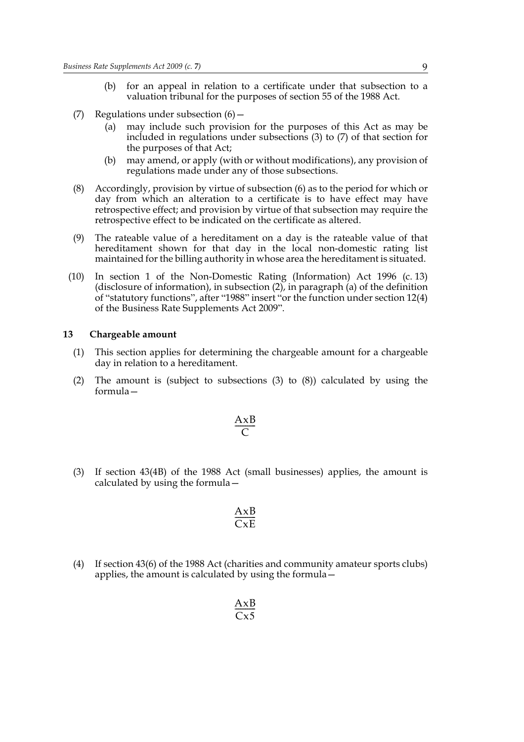- (b) for an appeal in relation to a certificate under that subsection to a valuation tribunal for the purposes of section 55 of the 1988 Act.
- (7) Regulations under subsection  $(6)$ 
	- (a) may include such provision for the purposes of this Act as may be included in regulations under subsections (3) to (7) of that section for the purposes of that Act;
	- (b) may amend, or apply (with or without modifications), any provision of regulations made under any of those subsections.
- (8) Accordingly, provision by virtue of subsection (6) as to the period for which or day from which an alteration to a certificate is to have effect may have retrospective effect; and provision by virtue of that subsection may require the retrospective effect to be indicated on the certificate as altered.
- (9) The rateable value of a hereditament on a day is the rateable value of that hereditament shown for that day in the local non-domestic rating list maintained for the billing authority in whose area the hereditament is situated.
- (10) In section 1 of the Non-Domestic Rating (Information) Act 1996 (c. 13) (disclosure of information), in subsection (2), in paragraph (a) of the definition of "statutory functions", after "1988" insert "or the function under section 12(4) of the Business Rate Supplements Act 2009".

#### **13 Chargeable amount**

- (1) This section applies for determining the chargeable amount for a chargeable day in relation to a hereditament.
- (2) The amount is (subject to subsections (3) to (8)) calculated by using the formula—

$$
\frac{\mathbf{A} \mathbf{x} \mathbf{B}}{C}
$$

(3) If section 43(4B) of the 1988 Act (small businesses) applies, the amount is calculated by using the formula—

$$
\frac{AxB}{CxE}
$$

(4) If section 43(6) of the 1988 Act (charities and community amateur sports clubs) applies, the amount is calculated by using the formula—

$$
\frac{\text{AxB}}{\text{Cx5}}
$$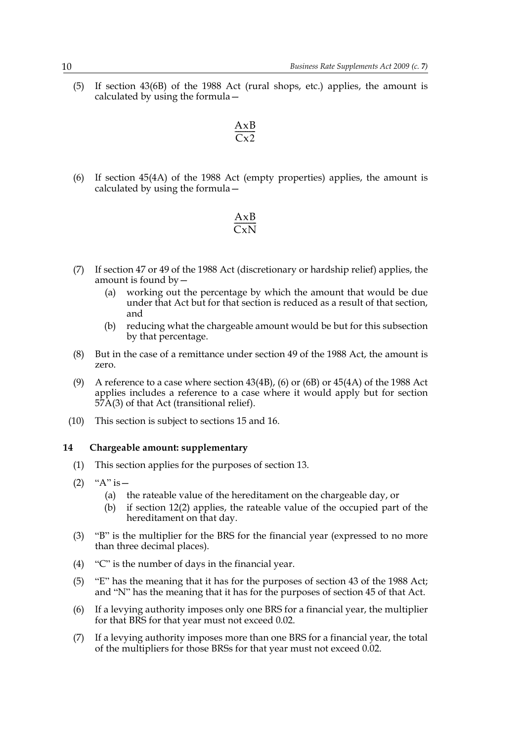(5) If section 43(6B) of the 1988 Act (rural shops, etc.) applies, the amount is calculated by using the formula—

$$
\frac{AxB}{Cx2}
$$

(6) If section 45(4A) of the 1988 Act (empty properties) applies, the amount is calculated by using the formula—

$$
\frac{AxB}{CxN}
$$

- (7) If section 47 or 49 of the 1988 Act (discretionary or hardship relief) applies, the amount is found by—
	- (a) working out the percentage by which the amount that would be due under that Act but for that section is reduced as a result of that section, and
	- (b) reducing what the chargeable amount would be but for this subsection by that percentage.
- (8) But in the case of a remittance under section 49 of the 1988 Act, the amount is zero.
- (9) A reference to a case where section 43(4B), (6) or (6B) or 45(4A) of the 1988 Act applies includes a reference to a case where it would apply but for section 57A(3) of that Act (transitional relief).
- (10) This section is subject to sections 15 and 16.

#### **14 Chargeable amount: supplementary**

- (1) This section applies for the purposes of section 13.
- (2) " $A$ " is  $-$ 
	- (a) the rateable value of the hereditament on the chargeable day, or
	- (b) if section 12(2) applies, the rateable value of the occupied part of the hereditament on that day.
- (3) "B" is the multiplier for the BRS for the financial year (expressed to no more than three decimal places).
- (4) "C" is the number of days in the financial year.
- (5) "E" has the meaning that it has for the purposes of section 43 of the 1988 Act; and "N" has the meaning that it has for the purposes of section 45 of that Act.
- (6) If a levying authority imposes only one BRS for a financial year, the multiplier for that BRS for that year must not exceed 0.02.
- (7) If a levying authority imposes more than one BRS for a financial year, the total of the multipliers for those BRSs for that year must not exceed 0.02.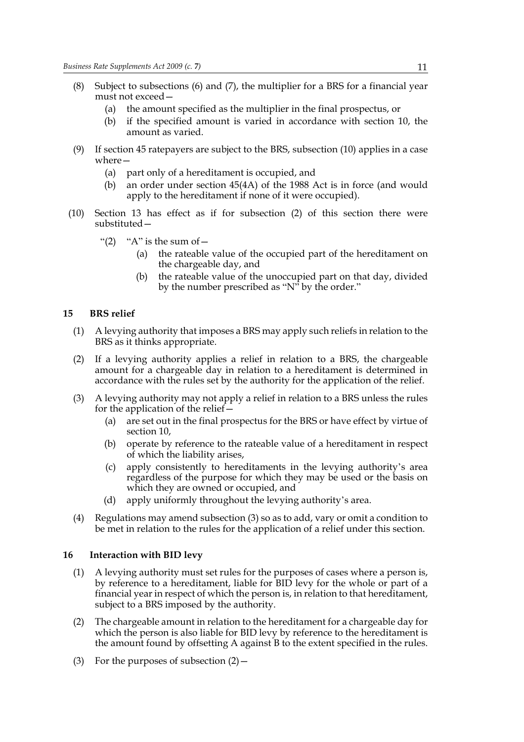- (8) Subject to subsections (6) and (7), the multiplier for a BRS for a financial year must not exceed—
	- (a) the amount specified as the multiplier in the final prospectus, or
	- (b) if the specified amount is varied in accordance with section 10, the amount as varied.
- (9) If section 45 ratepayers are subject to the BRS, subsection (10) applies in a case where—
	- (a) part only of a hereditament is occupied, and
	- (b) an order under section 45(4A) of the 1988 Act is in force (and would apply to the hereditament if none of it were occupied).
- (10) Section 13 has effect as if for subsection (2) of this section there were substituted—
	- "(2) "A" is the sum of  $-$ 
		- (a) the rateable value of the occupied part of the hereditament on the chargeable day, and
		- (b) the rateable value of the unoccupied part on that day, divided by the number prescribed as "N" by the order."

#### **15 BRS relief**

- (1) A levying authority that imposes a BRS may apply such reliefs in relation to the BRS as it thinks appropriate.
- (2) If a levying authority applies a relief in relation to a BRS, the chargeable amount for a chargeable day in relation to a hereditament is determined in accordance with the rules set by the authority for the application of the relief.
- (3) A levying authority may not apply a relief in relation to a BRS unless the rules for the application of the relief—
	- (a) are set out in the final prospectus for the BRS or have effect by virtue of section 10,
	- (b) operate by reference to the rateable value of a hereditament in respect of which the liability arises,
	- (c) apply consistently to hereditaments in the levying authority's area regardless of the purpose for which they may be used or the basis on which they are owned or occupied, and
	- (d) apply uniformly throughout the levying authority's area.
- (4) Regulations may amend subsection (3) so as to add, vary or omit a condition to be met in relation to the rules for the application of a relief under this section.

#### **16 Interaction with BID levy**

- (1) A levying authority must set rules for the purposes of cases where a person is, by reference to a hereditament, liable for BID levy for the whole or part of a financial year in respect of which the person is, in relation to that hereditament, subject to a BRS imposed by the authority.
- (2) The chargeable amount in relation to the hereditament for a chargeable day for which the person is also liable for BID levy by reference to the hereditament is the amount found by offsetting A against B to the extent specified in the rules.
- (3) For the purposes of subsection  $(2)$  –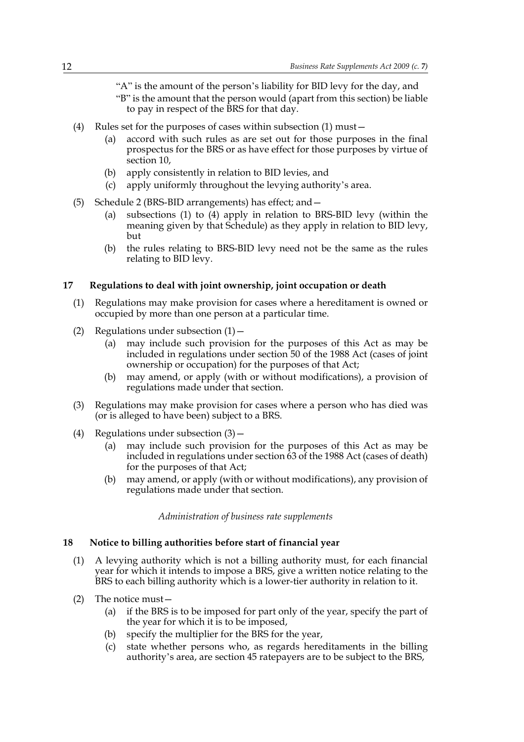"A" is the amount of the person's liability for BID levy for the day, and "B" is the amount that the person would (apart from this section) be liable to pay in respect of the BRS for that day.

- (4) Rules set for the purposes of cases within subsection (1) must—
	- (a) accord with such rules as are set out for those purposes in the final prospectus for the BRS or as have effect for those purposes by virtue of section 10,
	- (b) apply consistently in relation to BID levies, and
	- (c) apply uniformly throughout the levying authority's area.
- (5) Schedule 2 (BRS-BID arrangements) has effect; and—
	- (a) subsections (1) to (4) apply in relation to BRS-BID levy (within the meaning given by that Schedule) as they apply in relation to BID levy, but
	- (b) the rules relating to BRS-BID levy need not be the same as the rules relating to BID levy.

#### **17 Regulations to deal with joint ownership, joint occupation or death**

- (1) Regulations may make provision for cases where a hereditament is owned or occupied by more than one person at a particular time.
- (2) Regulations under subsection  $(1)$ 
	- (a) may include such provision for the purposes of this Act as may be included in regulations under section 50 of the 1988 Act (cases of joint ownership or occupation) for the purposes of that Act;
	- (b) may amend, or apply (with or without modifications), a provision of regulations made under that section.
- (3) Regulations may make provision for cases where a person who has died was (or is alleged to have been) subject to a BRS.
- (4) Regulations under subsection  $(3)$ 
	- (a) may include such provision for the purposes of this Act as may be included in regulations under section 63 of the 1988 Act (cases of death) for the purposes of that Act;
	- (b) may amend, or apply (with or without modifications), any provision of regulations made under that section.

*Administration of business rate supplements*

#### **18 Notice to billing authorities before start of financial year**

- (1) A levying authority which is not a billing authority must, for each financial year for which it intends to impose a BRS, give a written notice relating to the BRS to each billing authority which is a lower-tier authority in relation to it.
- (2) The notice must—
	- (a) if the BRS is to be imposed for part only of the year, specify the part of the year for which it is to be imposed,
	- (b) specify the multiplier for the BRS for the year,
	- (c) state whether persons who, as regards hereditaments in the billing authority's area, are section 45 ratepayers are to be subject to the BRS,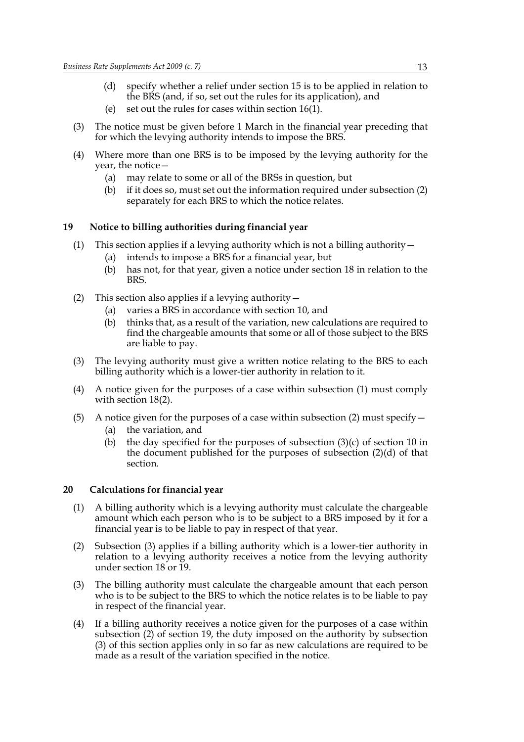- (d) specify whether a relief under section 15 is to be applied in relation to the BRS (and, if so, set out the rules for its application), and
- (e) set out the rules for cases within section 16(1).
- (3) The notice must be given before 1 March in the financial year preceding that for which the levying authority intends to impose the BRS.
- (4) Where more than one BRS is to be imposed by the levying authority for the year, the notice—
	- (a) may relate to some or all of the BRSs in question, but
	- (b) if it does so, must set out the information required under subsection (2) separately for each BRS to which the notice relates.

#### **19 Notice to billing authorities during financial year**

- (1) This section applies if a levying authority which is not a billing authority—
	- (a) intends to impose a BRS for a financial year, but
	- (b) has not, for that year, given a notice under section 18 in relation to the BRS.
- (2) This section also applies if a levying authority  $-$ 
	- (a) varies a BRS in accordance with section 10, and
	- (b) thinks that, as a result of the variation, new calculations are required to find the chargeable amounts that some or all of those subject to the BRS are liable to pay.
- (3) The levying authority must give a written notice relating to the BRS to each billing authority which is a lower-tier authority in relation to it.
- (4) A notice given for the purposes of a case within subsection (1) must comply with section 18(2).
- (5) A notice given for the purposes of a case within subsection (2) must specify  $-$ (a) the variation, and
	- (b) the day specified for the purposes of subsection  $(3)(c)$  of section 10 in the document published for the purposes of subsection (2)(d) of that section.

#### **20 Calculations for financial year**

- (1) A billing authority which is a levying authority must calculate the chargeable amount which each person who is to be subject to a BRS imposed by it for a financial year is to be liable to pay in respect of that year.
- (2) Subsection (3) applies if a billing authority which is a lower-tier authority in relation to a levying authority receives a notice from the levying authority under section 18 or 19.
- (3) The billing authority must calculate the chargeable amount that each person who is to be subject to the BRS to which the notice relates is to be liable to pay in respect of the financial year.
- (4) If a billing authority receives a notice given for the purposes of a case within subsection (2) of section 19, the duty imposed on the authority by subsection (3) of this section applies only in so far as new calculations are required to be made as a result of the variation specified in the notice.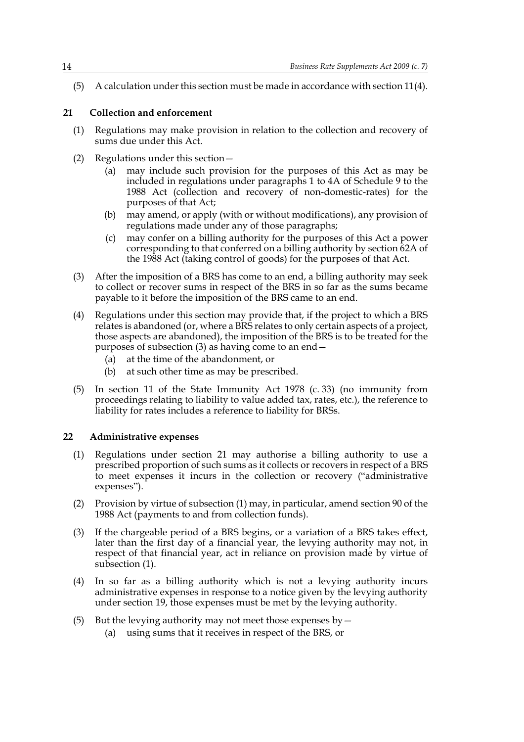(5) A calculation under this section must be made in accordance with section 11(4).

#### **21 Collection and enforcement**

- (1) Regulations may make provision in relation to the collection and recovery of sums due under this Act.
- (2) Regulations under this section—
	- (a) may include such provision for the purposes of this Act as may be included in regulations under paragraphs 1 to 4A of Schedule 9 to the 1988 Act (collection and recovery of non-domestic-rates) for the purposes of that Act;
	- (b) may amend, or apply (with or without modifications), any provision of regulations made under any of those paragraphs;
	- (c) may confer on a billing authority for the purposes of this Act a power corresponding to that conferred on a billing authority by section 62A of the 1988 Act (taking control of goods) for the purposes of that Act.
- (3) After the imposition of a BRS has come to an end, a billing authority may seek to collect or recover sums in respect of the BRS in so far as the sums became payable to it before the imposition of the BRS came to an end.
- (4) Regulations under this section may provide that, if the project to which a BRS relates is abandoned (or, where a BRS relates to only certain aspects of a project, those aspects are abandoned), the imposition of the BRS is to be treated for the purposes of subsection (3) as having come to an end—
	- (a) at the time of the abandonment, or
	- (b) at such other time as may be prescribed.
- (5) In section 11 of the State Immunity Act 1978 (c. 33) (no immunity from proceedings relating to liability to value added tax, rates, etc.), the reference to liability for rates includes a reference to liability for BRSs.

#### **22 Administrative expenses**

- (1) Regulations under section 21 may authorise a billing authority to use a prescribed proportion of such sums as it collects or recovers in respect of a BRS to meet expenses it incurs in the collection or recovery ("administrative expenses").
- (2) Provision by virtue of subsection (1) may, in particular, amend section 90 of the 1988 Act (payments to and from collection funds).
- (3) If the chargeable period of a BRS begins, or a variation of a BRS takes effect, later than the first day of a financial year, the levying authority may not, in respect of that financial year, act in reliance on provision made by virtue of subsection (1).
- (4) In so far as a billing authority which is not a levying authority incurs administrative expenses in response to a notice given by the levying authority under section 19, those expenses must be met by the levying authority.
- (5) But the levying authority may not meet those expenses by  $-$ 
	- (a) using sums that it receives in respect of the BRS, or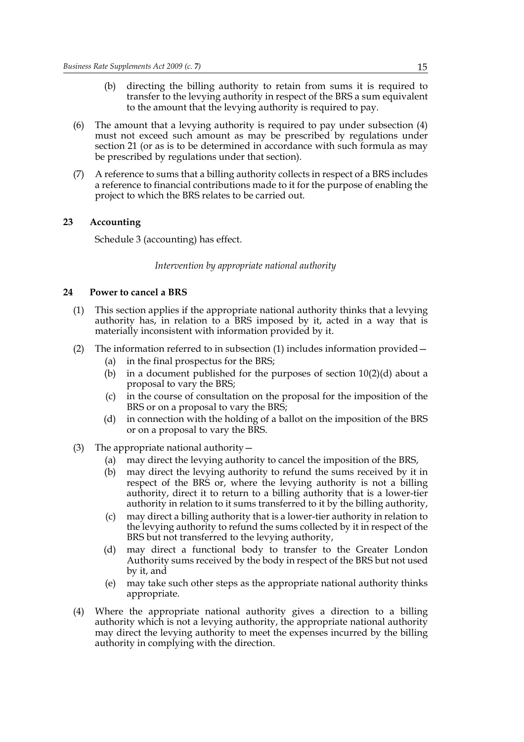- (b) directing the billing authority to retain from sums it is required to transfer to the levying authority in respect of the BRS a sum equivalent to the amount that the levying authority is required to pay.
- (6) The amount that a levying authority is required to pay under subsection (4) must not exceed such amount as may be prescribed by regulations under section 21 (or as is to be determined in accordance with such formula as may be prescribed by regulations under that section).
- (7) A reference to sums that a billing authority collects in respect of a BRS includes a reference to financial contributions made to it for the purpose of enabling the project to which the BRS relates to be carried out.

#### **23 Accounting**

Schedule 3 (accounting) has effect.

#### *Intervention by appropriate national authority*

#### **24 Power to cancel a BRS**

- (1) This section applies if the appropriate national authority thinks that a levying authority has, in relation to a BRS imposed by it, acted in a way that is materially inconsistent with information provided by it.
- (2) The information referred to in subsection (1) includes information provided—
	- (a) in the final prospectus for the BRS;
	- (b) in a document published for the purposes of section 10(2)(d) about a proposal to vary the BRS;
	- (c) in the course of consultation on the proposal for the imposition of the BRS or on a proposal to vary the BRS;
	- (d) in connection with the holding of a ballot on the imposition of the BRS or on a proposal to vary the BRS.
- (3) The appropriate national authority—
	- (a) may direct the levying authority to cancel the imposition of the BRS,
	- (b) may direct the levying authority to refund the sums received by it in respect of the BRS or, where the levying authority is not a billing authority, direct it to return to a billing authority that is a lower-tier authority in relation to it sums transferred to it by the billing authority,
	- (c) may direct a billing authority that is a lower-tier authority in relation to the levying authority to refund the sums collected by it in respect of the BRS but not transferred to the levying authority,
	- (d) may direct a functional body to transfer to the Greater London Authority sums received by the body in respect of the BRS but not used by it, and
	- (e) may take such other steps as the appropriate national authority thinks appropriate.
- (4) Where the appropriate national authority gives a direction to a billing authority which is not a levying authority, the appropriate national authority may direct the levying authority to meet the expenses incurred by the billing authority in complying with the direction.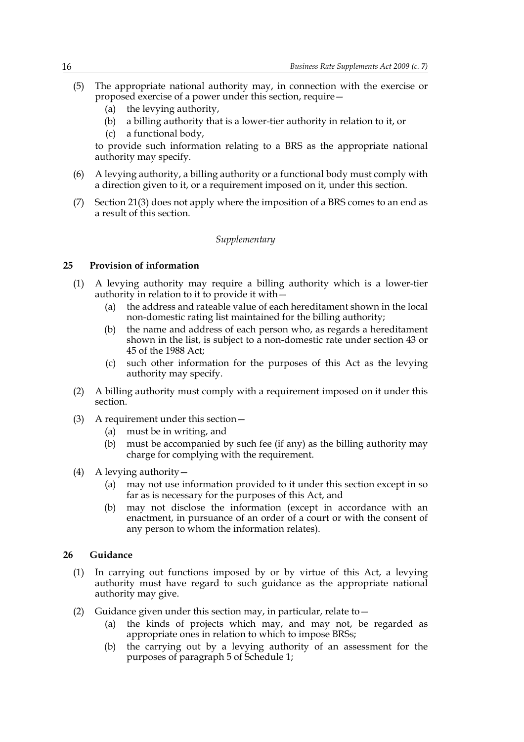- (5) The appropriate national authority may, in connection with the exercise or proposed exercise of a power under this section, require—
	- (a) the levying authority,
	- (b) a billing authority that is a lower-tier authority in relation to it, or
	- (c) a functional body,

to provide such information relating to a BRS as the appropriate national authority may specify.

- (6) A levying authority, a billing authority or a functional body must comply with a direction given to it, or a requirement imposed on it, under this section.
- (7) Section 21(3) does not apply where the imposition of a BRS comes to an end as a result of this section.

#### *Supplementary*

#### **25 Provision of information**

- (1) A levying authority may require a billing authority which is a lower-tier authority in relation to it to provide it with—
	- (a) the address and rateable value of each hereditament shown in the local non-domestic rating list maintained for the billing authority;
	- (b) the name and address of each person who, as regards a hereditament shown in the list, is subject to a non-domestic rate under section 43 or 45 of the 1988 Act;
	- (c) such other information for the purposes of this Act as the levying authority may specify.
- (2) A billing authority must comply with a requirement imposed on it under this section.
- (3) A requirement under this section—
	- (a) must be in writing, and
	- (b) must be accompanied by such fee (if any) as the billing authority may charge for complying with the requirement.
- (4) A levying authority—
	- (a) may not use information provided to it under this section except in so far as is necessary for the purposes of this Act, and
	- (b) may not disclose the information (except in accordance with an enactment, in pursuance of an order of a court or with the consent of any person to whom the information relates).

#### **26 Guidance**

- (1) In carrying out functions imposed by or by virtue of this Act, a levying authority must have regard to such guidance as the appropriate national authority may give.
- (2) Guidance given under this section may, in particular, relate to—
	- (a) the kinds of projects which may, and may not, be regarded as appropriate ones in relation to which to impose BRSs;
	- (b) the carrying out by a levying authority of an assessment for the purposes of paragraph 5 of Schedule 1;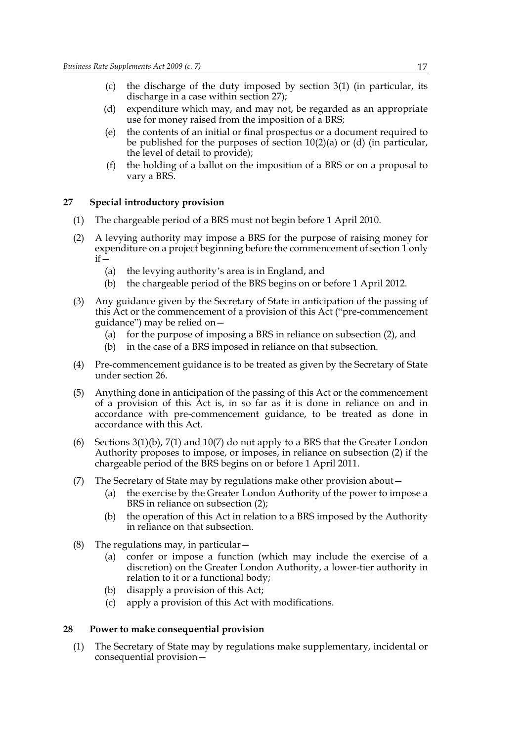- (c) the discharge of the duty imposed by section 3(1) (in particular, its discharge in a case within section 27);
- (d) expenditure which may, and may not, be regarded as an appropriate use for money raised from the imposition of a BRS;
- (e) the contents of an initial or final prospectus or a document required to be published for the purposes of section 10(2)(a) or (d) (in particular, the level of detail to provide);
- (f) the holding of a ballot on the imposition of a BRS or on a proposal to vary a BRS.

#### **27 Special introductory provision**

- (1) The chargeable period of a BRS must not begin before 1 April 2010.
- (2) A levying authority may impose a BRS for the purpose of raising money for expenditure on a project beginning before the commencement of section 1 only  $if -$ 
	- (a) the levying authority's area is in England, and
	- (b) the chargeable period of the BRS begins on or before 1 April 2012.
- (3) Any guidance given by the Secretary of State in anticipation of the passing of this Act or the commencement of a provision of this Act ("pre-commencement guidance") may be relied on—
	- (a) for the purpose of imposing a BRS in reliance on subsection (2), and
	- (b) in the case of a BRS imposed in reliance on that subsection.
- (4) Pre-commencement guidance is to be treated as given by the Secretary of State under section 26.
- (5) Anything done in anticipation of the passing of this Act or the commencement of a provision of this Act is, in so far as it is done in reliance on and in accordance with pre-commencement guidance, to be treated as done in accordance with this Act.
- (6) Sections  $3(1)(b)$ ,  $7(1)$  and  $10(7)$  do not apply to a BRS that the Greater London Authority proposes to impose, or imposes, in reliance on subsection (2) if the chargeable period of the BRS begins on or before 1 April 2011.
- (7) The Secretary of State may by regulations make other provision about—
	- (a) the exercise by the Greater London Authority of the power to impose a BRS in reliance on subsection (2);
	- (b) the operation of this Act in relation to a BRS imposed by the Authority in reliance on that subsection.
- (8) The regulations may, in particular—
	- (a) confer or impose a function (which may include the exercise of a discretion) on the Greater London Authority, a lower-tier authority in relation to it or a functional body;
	- (b) disapply a provision of this Act;
	- (c) apply a provision of this Act with modifications.

#### **28 Power to make consequential provision**

(1) The Secretary of State may by regulations make supplementary, incidental or consequential provision—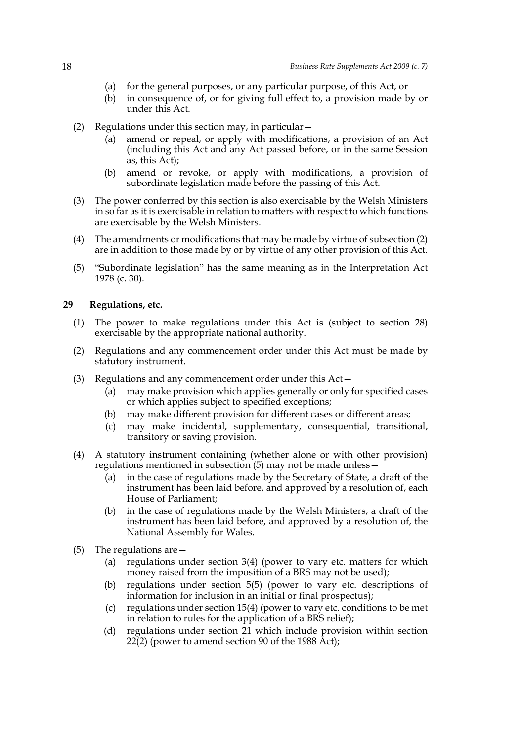- (a) for the general purposes, or any particular purpose, of this Act, or
- (b) in consequence of, or for giving full effect to, a provision made by or under this Act.
- (2) Regulations under this section may, in particular—
	- (a) amend or repeal, or apply with modifications, a provision of an Act (including this Act and any Act passed before, or in the same Session as, this Act);
	- (b) amend or revoke, or apply with modifications, a provision of subordinate legislation made before the passing of this Act.
- (3) The power conferred by this section is also exercisable by the Welsh Ministers in so far as it is exercisable in relation to matters with respect to which functions are exercisable by the Welsh Ministers.
- (4) The amendments or modifications that may be made by virtue of subsection (2) are in addition to those made by or by virtue of any other provision of this Act.
- (5) "Subordinate legislation" has the same meaning as in the Interpretation Act 1978 (c. 30).

#### **29 Regulations, etc.**

- (1) The power to make regulations under this Act is (subject to section 28) exercisable by the appropriate national authority.
- (2) Regulations and any commencement order under this Act must be made by statutory instrument.
- (3) Regulations and any commencement order under this Act—
	- (a) may make provision which applies generally or only for specified cases or which applies subject to specified exceptions;
	- (b) may make different provision for different cases or different areas;
	- (c) may make incidental, supplementary, consequential, transitional, transitory or saving provision.
- (4) A statutory instrument containing (whether alone or with other provision) regulations mentioned in subsection (5) may not be made unless—
	- (a) in the case of regulations made by the Secretary of State, a draft of the instrument has been laid before, and approved by a resolution of, each House of Parliament;
	- (b) in the case of regulations made by the Welsh Ministers, a draft of the instrument has been laid before, and approved by a resolution of, the National Assembly for Wales.
- (5) The regulations are—
	- (a) regulations under section 3(4) (power to vary etc. matters for which money raised from the imposition of a BRS may not be used);
	- (b) regulations under section 5(5) (power to vary etc. descriptions of information for inclusion in an initial or final prospectus);
	- (c) regulations under section 15(4) (power to vary etc. conditions to be met in relation to rules for the application of a BRS relief);
	- (d) regulations under section 21 which include provision within section  $22(2)$  (power to amend section 90 of the 1988 Act);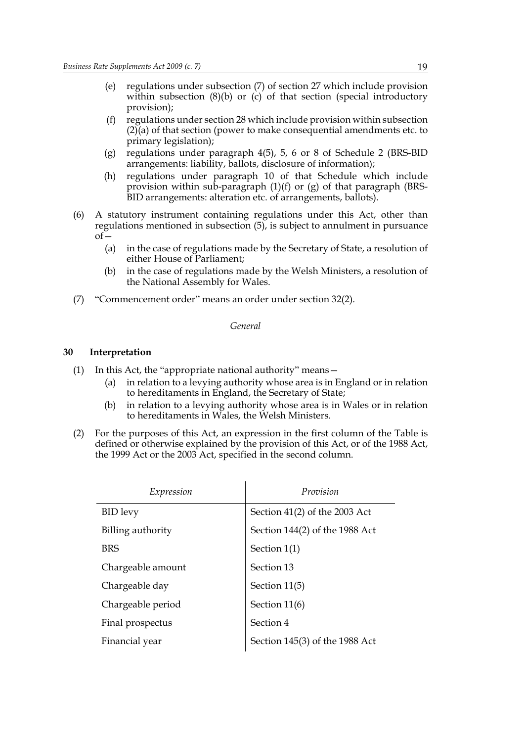- (e) regulations under subsection (7) of section 27 which include provision within subsection  $(8)(b)$  or  $(c)$  of that section (special introductory provision);
- (f) regulations under section 28 which include provision within subsection (2)(a) of that section (power to make consequential amendments etc. to primary legislation);
- (g) regulations under paragraph 4(5), 5, 6 or 8 of Schedule 2 (BRS-BID arrangements: liability, ballots, disclosure of information);
- (h) regulations under paragraph 10 of that Schedule which include provision within sub-paragraph (1)(f) or (g) of that paragraph (BRS-BID arrangements: alteration etc. of arrangements, ballots).
- (6) A statutory instrument containing regulations under this Act, other than regulations mentioned in subsection (5), is subject to annulment in pursuance  $of$ 
	- (a) in the case of regulations made by the Secretary of State, a resolution of either House of Parliament;
	- (b) in the case of regulations made by the Welsh Ministers, a resolution of the National Assembly for Wales.
- (7) "Commencement order" means an order under section 32(2).

#### *General*

#### **30 Interpretation**

- (1) In this Act, the "appropriate national authority" means—
	- (a) in relation to a levying authority whose area is in England or in relation to hereditaments in England, the Secretary of State;
	- (b) in relation to a levying authority whose area is in Wales or in relation to hereditaments in Wales, the Welsh Ministers.
- (2) For the purposes of this Act, an expression in the first column of the Table is defined or otherwise explained by the provision of this Act, or of the 1988 Act, the 1999 Act or the 2003 Act, specified in the second column.

| Expression        | Provision                      |
|-------------------|--------------------------------|
| <b>BID</b> levy   | Section 41(2) of the 2003 Act  |
| Billing authority | Section 144(2) of the 1988 Act |
| <b>BRS</b>        | Section $1(1)$                 |
| Chargeable amount | Section 13                     |
| Chargeable day    | Section 11(5)                  |
| Chargeable period | Section 11(6)                  |
| Final prospectus  | Section 4                      |
| Financial year    | Section 145(3) of the 1988 Act |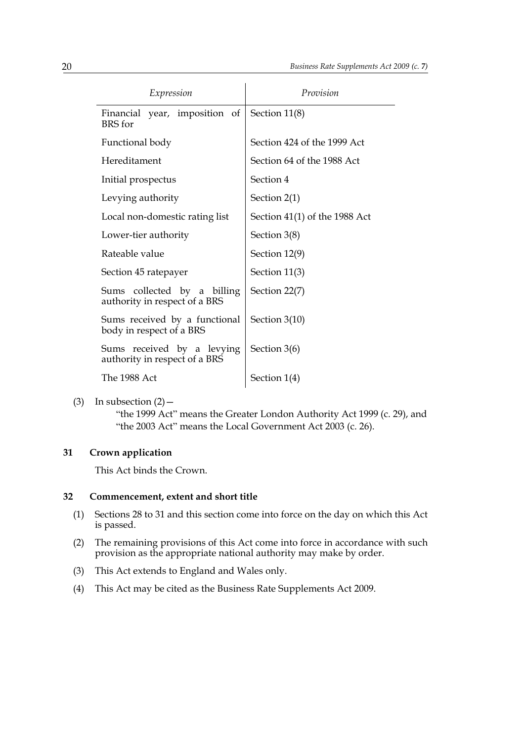| Expression                                                   | Provision                       |
|--------------------------------------------------------------|---------------------------------|
| Financial year, imposition of<br>BRS for                     | Section 11(8)                   |
| Functional body                                              | Section 424 of the 1999 Act     |
| Hereditament                                                 | Section 64 of the 1988 Act      |
| Initial prospectus                                           | Section 4                       |
| Levying authority                                            | Section $2(1)$                  |
| Local non-domestic rating list                               | Section $41(1)$ of the 1988 Act |
| Lower-tier authority                                         | Section 3(8)                    |
| Rateable value                                               | Section 12(9)                   |
| Section 45 ratepayer                                         | Section 11(3)                   |
| Sums collected by a billing<br>authority in respect of a BRS | Section 22(7)                   |
| Sums received by a functional<br>body in respect of a BRS    | Section 3(10)                   |
| Sums received by a levying<br>authority in respect of a BRS  | Section $3(6)$                  |
| The 1988 Act                                                 | Section $1(4)$                  |

(3) In subsection  $(2)$  –

"the 1999 Act" means the Greater London Authority Act 1999 (c. 29), and "the 2003 Act" means the Local Government Act 2003 (c. 26).

#### **31 Crown application**

This Act binds the Crown.

#### **32 Commencement, extent and short title**

- (1) Sections 28 to 31 and this section come into force on the day on which this Act is passed.
- (2) The remaining provisions of this Act come into force in accordance with such provision as the appropriate national authority may make by order.
- (3) This Act extends to England and Wales only.
- (4) This Act may be cited as the Business Rate Supplements Act 2009.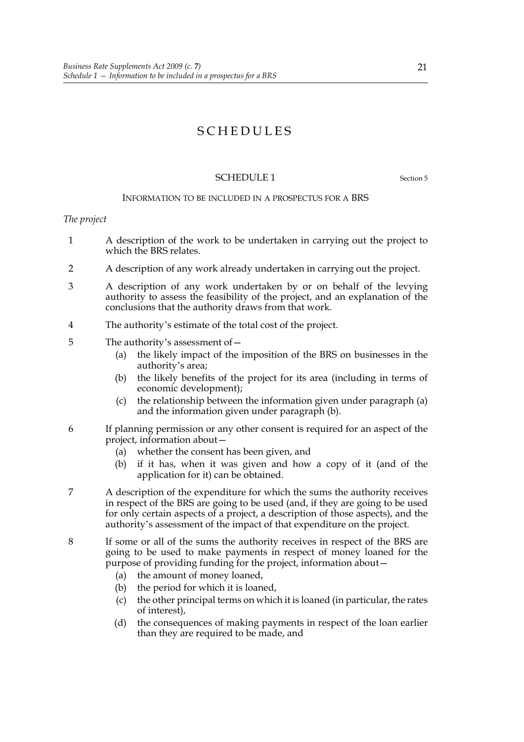## SCHEDULES

#### SCHEDULE 1 Section 5

#### INFORMATION TO BE INCLUDED IN A PROSPECTUS FOR A BRS

#### *The project*

- 1 A description of the work to be undertaken in carrying out the project to which the BRS relates.
- 2 A description of any work already undertaken in carrying out the project.
- 3 A description of any work undertaken by or on behalf of the levying authority to assess the feasibility of the project, and an explanation of the conclusions that the authority draws from that work.
- 4 The authority's estimate of the total cost of the project.
- 5 The authority's assessment of—
	- (a) the likely impact of the imposition of the BRS on businesses in the authority's area;
	- (b) the likely benefits of the project for its area (including in terms of economic development);
	- (c) the relationship between the information given under paragraph (a) and the information given under paragraph (b).
- 6 If planning permission or any other consent is required for an aspect of the project, information about—
	- (a) whether the consent has been given, and
	- (b) if it has, when it was given and how a copy of it (and of the application for it) can be obtained.
- 7 A description of the expenditure for which the sums the authority receives in respect of the BRS are going to be used (and, if they are going to be used for only certain aspects of a project, a description of those aspects), and the authority's assessment of the impact of that expenditure on the project.
- 8 If some or all of the sums the authority receives in respect of the BRS are going to be used to make payments in respect of money loaned for the purpose of providing funding for the project, information about—
	- (a) the amount of money loaned,
	- (b) the period for which it is loaned,
	- (c) the other principal terms on which it is loaned (in particular, the rates of interest),
	- (d) the consequences of making payments in respect of the loan earlier than they are required to be made, and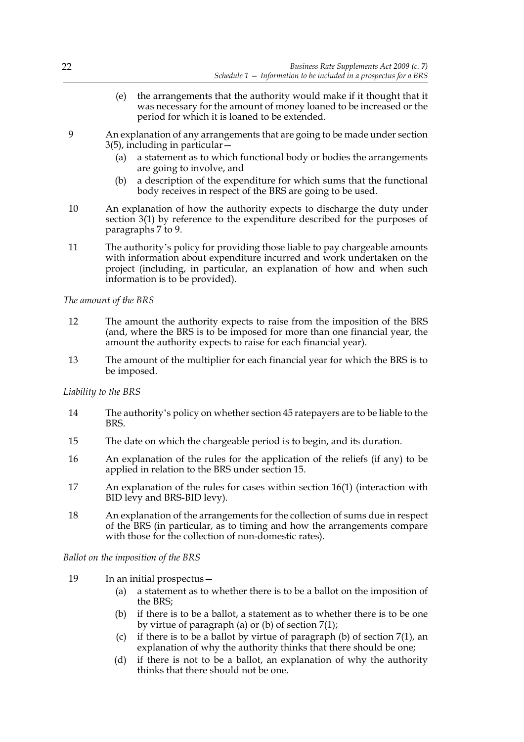- (e) the arrangements that the authority would make if it thought that it was necessary for the amount of money loaned to be increased or the period for which it is loaned to be extended.
- 9 An explanation of any arrangements that are going to be made under section 3(5), including in particular—
	- (a) a statement as to which functional body or bodies the arrangements are going to involve, and
	- (b) a description of the expenditure for which sums that the functional body receives in respect of the BRS are going to be used.
- 10 An explanation of how the authority expects to discharge the duty under section 3(1) by reference to the expenditure described for the purposes of paragraphs 7 to 9.
- 11 The authority's policy for providing those liable to pay chargeable amounts with information about expenditure incurred and work undertaken on the project (including, in particular, an explanation of how and when such information is to be provided).

#### *The amount of the BRS*

- 12 The amount the authority expects to raise from the imposition of the BRS (and, where the BRS is to be imposed for more than one financial year, the amount the authority expects to raise for each financial year).
- 13 The amount of the multiplier for each financial year for which the BRS is to be imposed.

#### *Liability to the BRS*

- 14 The authority's policy on whether section 45 ratepayers are to be liable to the BRS.
- 15 The date on which the chargeable period is to begin, and its duration.
- 16 An explanation of the rules for the application of the reliefs (if any) to be applied in relation to the BRS under section 15.
- 17 An explanation of the rules for cases within section 16(1) (interaction with BID levy and BRS-BID levy).
- 18 An explanation of the arrangements for the collection of sums due in respect of the BRS (in particular, as to timing and how the arrangements compare with those for the collection of non-domestic rates).

*Ballot on the imposition of the BRS*

- 19 In an initial prospectus—
	- (a) a statement as to whether there is to be a ballot on the imposition of the BRS;
	- (b) if there is to be a ballot, a statement as to whether there is to be one by virtue of paragraph (a) or (b) of section 7(1);
	- (c) if there is to be a ballot by virtue of paragraph (b) of section  $7(1)$ , an explanation of why the authority thinks that there should be one;
	- (d) if there is not to be a ballot, an explanation of why the authority thinks that there should not be one.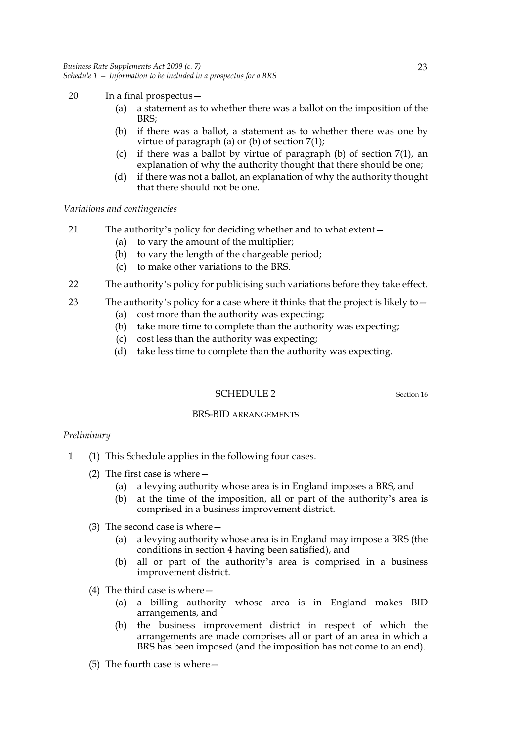- 20 In a final prospectus—
	- (a) a statement as to whether there was a ballot on the imposition of the BRS;
	- (b) if there was a ballot, a statement as to whether there was one by virtue of paragraph (a) or (b) of section 7(1);
	- (c) if there was a ballot by virtue of paragraph (b) of section 7(1), an explanation of why the authority thought that there should be one;
	- (d) if there was not a ballot, an explanation of why the authority thought that there should not be one.

*Variations and contingencies*

- 21 The authority's policy for deciding whether and to what extent—
	- (a) to vary the amount of the multiplier;
	- (b) to vary the length of the chargeable period;
	- (c) to make other variations to the BRS.
- 22 The authority's policy for publicising such variations before they take effect.
- 23 The authority's policy for a case where it thinks that the project is likely to—
	- (a) cost more than the authority was expecting;
	- (b) take more time to complete than the authority was expecting;
	- (c) cost less than the authority was expecting;
	- (d) take less time to complete than the authority was expecting.

#### SCHEDULE 2 Section 16

#### BRS-BID ARRANGEMENTS

#### *Preliminary*

- 1 (1) This Schedule applies in the following four cases.
	- (2) The first case is where—
		- (a) a levying authority whose area is in England imposes a BRS, and
		- (b) at the time of the imposition, all or part of the authority's area is comprised in a business improvement district.
	- (3) The second case is where—
		- (a) a levying authority whose area is in England may impose a BRS (the conditions in section 4 having been satisfied), and
		- (b) all or part of the authority's area is comprised in a business improvement district.
	- (4) The third case is where—
		- (a) a billing authority whose area is in England makes BID arrangements, and
		- (b) the business improvement district in respect of which the arrangements are made comprises all or part of an area in which a BRS has been imposed (and the imposition has not come to an end).
	- (5) The fourth case is where—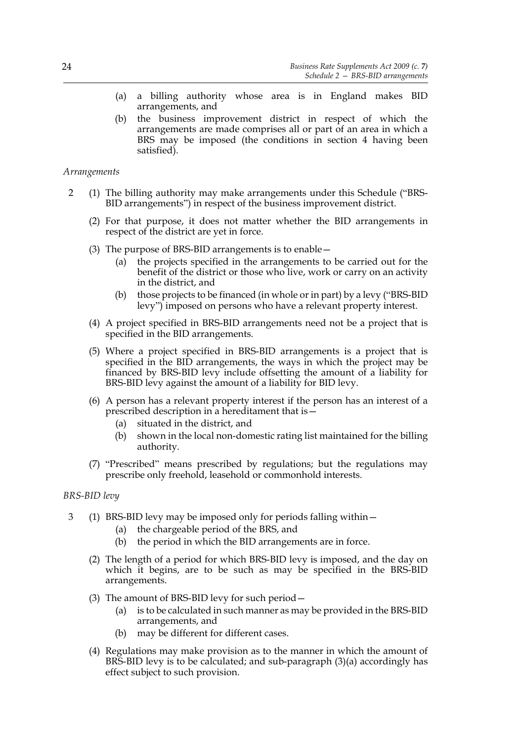- (a) a billing authority whose area is in England makes BID arrangements, and
- (b) the business improvement district in respect of which the arrangements are made comprises all or part of an area in which a BRS may be imposed (the conditions in section 4 having been satisfied).

*Arrangements*

- 2 (1) The billing authority may make arrangements under this Schedule ("BRS-BID arrangements") in respect of the business improvement district.
	- (2) For that purpose, it does not matter whether the BID arrangements in respect of the district are yet in force.
	- (3) The purpose of BRS-BID arrangements is to enable—
		- (a) the projects specified in the arrangements to be carried out for the benefit of the district or those who live, work or carry on an activity in the district, and
		- (b) those projects to be financed (in whole or in part) by a levy ("BRS-BID levy") imposed on persons who have a relevant property interest.
	- (4) A project specified in BRS-BID arrangements need not be a project that is specified in the BID arrangements.
	- (5) Where a project specified in BRS-BID arrangements is a project that is specified in the BID arrangements, the ways in which the project may be financed by BRS-BID levy include offsetting the amount of a liability for BRS-BID levy against the amount of a liability for BID levy.
	- (6) A person has a relevant property interest if the person has an interest of a prescribed description in a hereditament that is—
		- (a) situated in the district, and
		- (b) shown in the local non-domestic rating list maintained for the billing authority.
	- (7) "Prescribed" means prescribed by regulations; but the regulations may prescribe only freehold, leasehold or commonhold interests.

#### *BRS-BID levy*

- 3 (1) BRS-BID levy may be imposed only for periods falling within—
	- (a) the chargeable period of the BRS, and
	- (b) the period in which the BID arrangements are in force.
	- (2) The length of a period for which BRS-BID levy is imposed, and the day on which it begins, are to be such as may be specified in the BRS-BID arrangements.
	- (3) The amount of BRS-BID levy for such period—
		- (a) is to be calculated in such manner as may be provided in the BRS-BID arrangements, and
		- (b) may be different for different cases.
	- (4) Regulations may make provision as to the manner in which the amount of BRS-BID levy is to be calculated; and sub-paragraph (3)(a) accordingly has effect subject to such provision.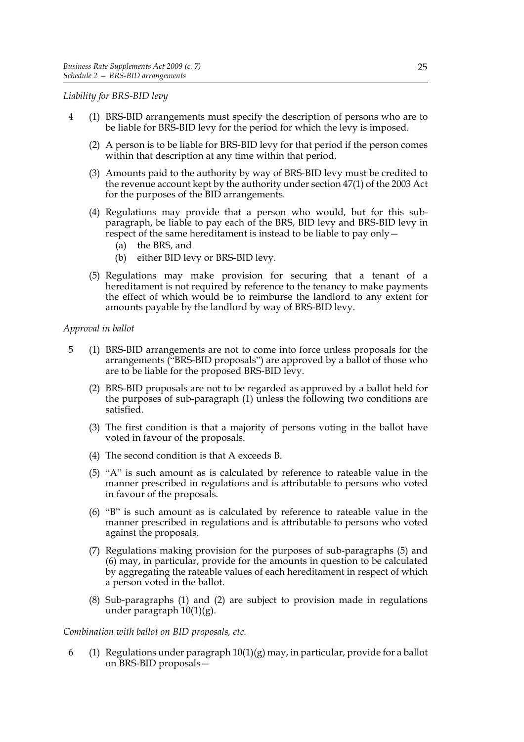*Liability for BRS-BID levy*

- 4 (1) BRS-BID arrangements must specify the description of persons who are to be liable for BRS-BID levy for the period for which the levy is imposed.
	- (2) A person is to be liable for BRS-BID levy for that period if the person comes within that description at any time within that period.
	- (3) Amounts paid to the authority by way of BRS-BID levy must be credited to the revenue account kept by the authority under section 47(1) of the 2003 Act for the purposes of the BID arrangements.
	- (4) Regulations may provide that a person who would, but for this subparagraph, be liable to pay each of the BRS, BID levy and BRS-BID levy in respect of the same hereditament is instead to be liable to pay only—
		- (a) the BRS, and
		- (b) either BID levy or BRS-BID levy.
	- (5) Regulations may make provision for securing that a tenant of a hereditament is not required by reference to the tenancy to make payments the effect of which would be to reimburse the landlord to any extent for amounts payable by the landlord by way of BRS-BID levy.

#### *Approval in ballot*

- 5 (1) BRS-BID arrangements are not to come into force unless proposals for the arrangements ("BRS-BID proposals") are approved by a ballot of those who are to be liable for the proposed BRS-BID levy.
	- (2) BRS-BID proposals are not to be regarded as approved by a ballot held for the purposes of sub-paragraph (1) unless the following two conditions are satisfied.
	- (3) The first condition is that a majority of persons voting in the ballot have voted in favour of the proposals.
	- (4) The second condition is that A exceeds B.
	- (5) "A" is such amount as is calculated by reference to rateable value in the manner prescribed in regulations and is attributable to persons who voted in favour of the proposals.
	- (6) "B" is such amount as is calculated by reference to rateable value in the manner prescribed in regulations and is attributable to persons who voted against the proposals.
	- (7) Regulations making provision for the purposes of sub-paragraphs (5) and (6) may, in particular, provide for the amounts in question to be calculated by aggregating the rateable values of each hereditament in respect of which a person voted in the ballot.
	- (8) Sub-paragraphs (1) and (2) are subject to provision made in regulations under paragraph 10(1)(g).

#### *Combination with ballot on BID proposals, etc.*

6 (1) Regulations under paragraph  $10(1)(g)$  may, in particular, provide for a ballot on BRS-BID proposals—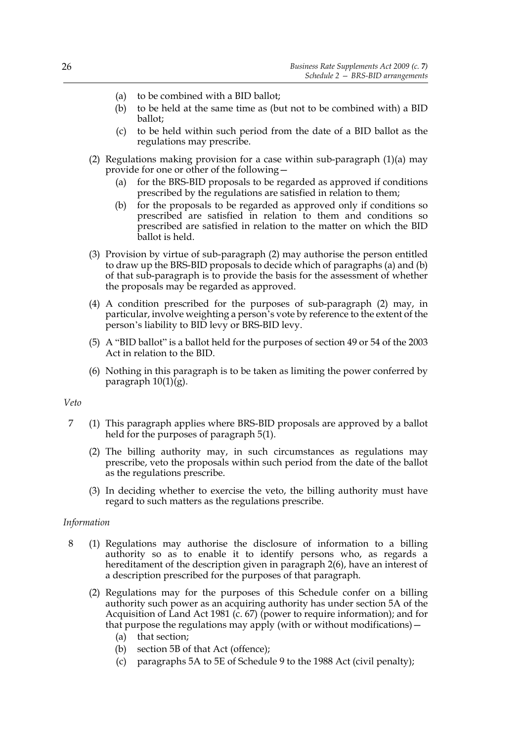- (a) to be combined with a BID ballot;
- (b) to be held at the same time as (but not to be combined with) a BID ballot;
- (c) to be held within such period from the date of a BID ballot as the regulations may prescribe.
- (2) Regulations making provision for a case within sub-paragraph  $(1)(a)$  may provide for one or other of the following—
	- (a) for the BRS-BID proposals to be regarded as approved if conditions prescribed by the regulations are satisfied in relation to them;
	- (b) for the proposals to be regarded as approved only if conditions so prescribed are satisfied in relation to them and conditions so prescribed are satisfied in relation to the matter on which the BID ballot is held.
- (3) Provision by virtue of sub-paragraph (2) may authorise the person entitled to draw up the BRS-BID proposals to decide which of paragraphs (a) and (b) of that sub-paragraph is to provide the basis for the assessment of whether the proposals may be regarded as approved.
- (4) A condition prescribed for the purposes of sub-paragraph (2) may, in particular, involve weighting a person's vote by reference to the extent of the person's liability to BID levy or BRS-BID levy.
- (5) A "BID ballot" is a ballot held for the purposes of section 49 or 54 of the 2003 Act in relation to the BID.
- (6) Nothing in this paragraph is to be taken as limiting the power conferred by paragraph  $10(1)(g)$ .

#### *Veto*

- 7 (1) This paragraph applies where BRS-BID proposals are approved by a ballot held for the purposes of paragraph 5(1).
	- (2) The billing authority may, in such circumstances as regulations may prescribe, veto the proposals within such period from the date of the ballot as the regulations prescribe.
	- (3) In deciding whether to exercise the veto, the billing authority must have regard to such matters as the regulations prescribe.

#### *Information*

- 8 (1) Regulations may authorise the disclosure of information to a billing authority so as to enable it to identify persons who, as regards a hereditament of the description given in paragraph 2(6), have an interest of a description prescribed for the purposes of that paragraph.
	- (2) Regulations may for the purposes of this Schedule confer on a billing authority such power as an acquiring authority has under section 5A of the Acquisition of Land Act 1981 (c. 67) (power to require information); and for that purpose the regulations may apply (with or without modifications)  $-$ 
		- (a) that section;
		- (b) section 5B of that Act (offence);
		- (c) paragraphs 5A to 5E of Schedule 9 to the 1988 Act (civil penalty);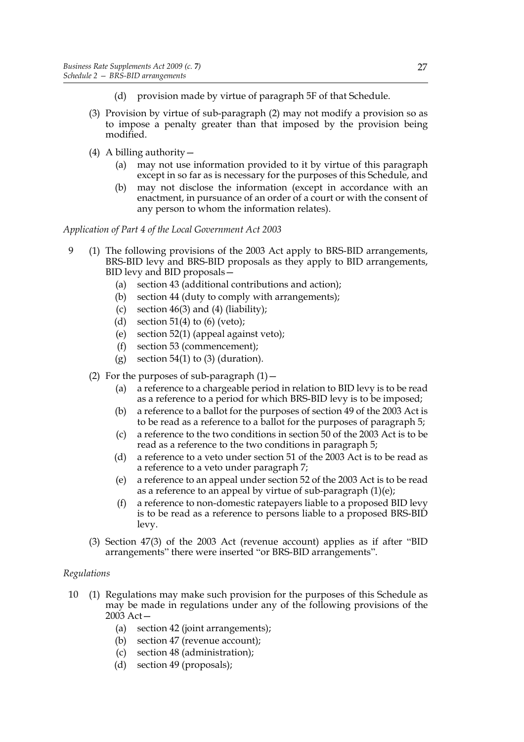- (d) provision made by virtue of paragraph 5F of that Schedule.
- (3) Provision by virtue of sub-paragraph (2) may not modify a provision so as to impose a penalty greater than that imposed by the provision being modified.
- (4) A billing authority—
	- (a) may not use information provided to it by virtue of this paragraph except in so far as is necessary for the purposes of this Schedule, and
	- (b) may not disclose the information (except in accordance with an enactment, in pursuance of an order of a court or with the consent of any person to whom the information relates).

*Application of Part 4 of the Local Government Act 2003*

- 9 (1) The following provisions of the 2003 Act apply to BRS-BID arrangements, BRS-BID levy and BRS-BID proposals as they apply to BID arrangements, BID levy and BID proposals—
	- (a) section 43 (additional contributions and action);
	- (b) section 44 (duty to comply with arrangements);
	- (c) section  $46(3)$  and  $(4)$  (liability);
	- (d) section  $51(4)$  to (6) (veto);
	- (e) section 52(1) (appeal against veto);
	- (f) section 53 (commencement);
	- (g) section  $54(1)$  to (3) (duration).
	- (2) For the purposes of sub-paragraph  $(1)$  -
		- (a) a reference to a chargeable period in relation to BID levy is to be read as a reference to a period for which BRS-BID levy is to be imposed;
		- (b) a reference to a ballot for the purposes of section 49 of the 2003 Act is to be read as a reference to a ballot for the purposes of paragraph 5;
		- (c) a reference to the two conditions in section 50 of the 2003 Act is to be read as a reference to the two conditions in paragraph 5;
		- (d) a reference to a veto under section 51 of the 2003 Act is to be read as a reference to a veto under paragraph 7;
		- (e) a reference to an appeal under section 52 of the 2003 Act is to be read as a reference to an appeal by virtue of sub-paragraph  $(1)(e)$ ;
		- (f) a reference to non-domestic ratepayers liable to a proposed BID levy is to be read as a reference to persons liable to a proposed BRS-BID levy.
	- (3) Section 47(3) of the 2003 Act (revenue account) applies as if after "BID arrangements" there were inserted "or BRS-BID arrangements".

#### *Regulations*

- 10 (1) Regulations may make such provision for the purposes of this Schedule as may be made in regulations under any of the following provisions of the 2003 Act—
	- (a) section 42 (joint arrangements);
	- (b) section 47 (revenue account);
	- (c) section 48 (administration);
	- (d) section 49 (proposals);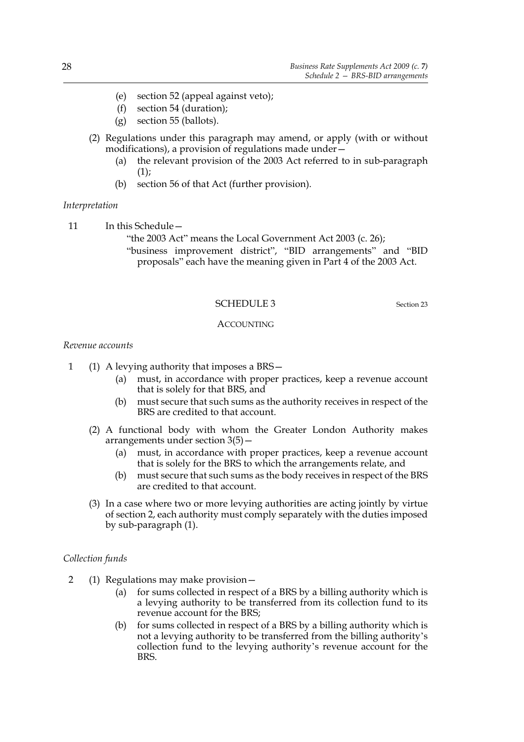- (e) section 52 (appeal against veto);
- (f) section 54 (duration);
- (g) section 55 (ballots).
- (2) Regulations under this paragraph may amend, or apply (with or without modifications), a provision of regulations made under—
	- (a) the relevant provision of the 2003 Act referred to in sub-paragraph  $(1)$ ;
	- (b) section 56 of that Act (further provision).

#### *Interpretation*

11 In this Schedule -

- "the 2003 Act" means the Local Government Act 2003 (c. 26);
- "business improvement district", "BID arrangements" and "BID proposals" each have the meaning given in Part 4 of the 2003 Act.

#### SCHEDULE 3 Section 23

#### **ACCOUNTING**

#### *Revenue accounts*

- 1 (1) A levying authority that imposes a BRS—
	- (a) must, in accordance with proper practices, keep a revenue account that is solely for that BRS, and
	- (b) must secure that such sums as the authority receives in respect of the BRS are credited to that account.
	- (2) A functional body with whom the Greater London Authority makes arrangements under section 3(5)—
		- (a) must, in accordance with proper practices, keep a revenue account that is solely for the BRS to which the arrangements relate, and
		- (b) must secure that such sums as the body receives in respect of the BRS are credited to that account.
	- (3) In a case where two or more levying authorities are acting jointly by virtue of section 2, each authority must comply separately with the duties imposed by sub-paragraph (1).

#### *Collection funds*

- 2 (1) Regulations may make provision—
	- (a) for sums collected in respect of a BRS by a billing authority which is a levying authority to be transferred from its collection fund to its revenue account for the BRS;
	- (b) for sums collected in respect of a BRS by a billing authority which is not a levying authority to be transferred from the billing authority's collection fund to the levying authority's revenue account for the BRS.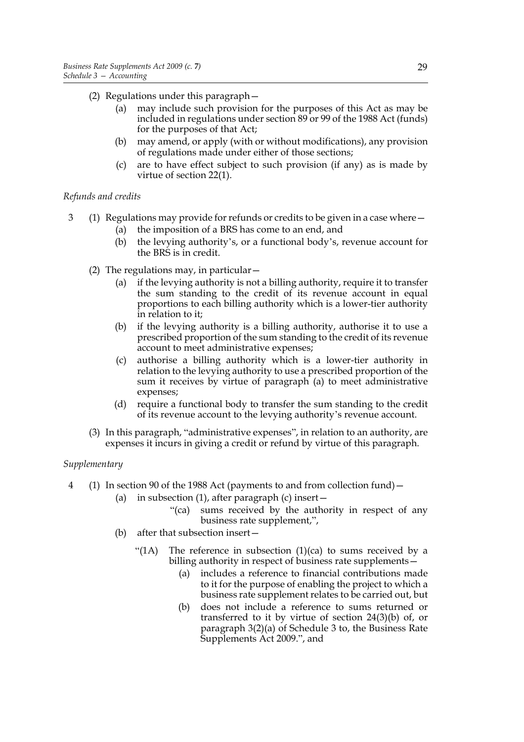- (2) Regulations under this paragraph—
	- (a) may include such provision for the purposes of this Act as may be included in regulations under section 89 or 99 of the 1988 Act (funds) for the purposes of that Act;
	- (b) may amend, or apply (with or without modifications), any provision of regulations made under either of those sections;
	- (c) are to have effect subject to such provision (if any) as is made by virtue of section 22(1).

#### *Refunds and credits*

- 3 (1) Regulations may provide for refunds or credits to be given in a case where—
	- (a) the imposition of a BRS has come to an end, and
	- (b) the levying authority's, or a functional body's, revenue account for the BRS is in credit.
	- (2) The regulations may, in particular  $-$ 
		- (a) if the levying authority is not a billing authority, require it to transfer the sum standing to the credit of its revenue account in equal proportions to each billing authority which is a lower-tier authority in relation to it;
		- (b) if the levying authority is a billing authority, authorise it to use a prescribed proportion of the sum standing to the credit of its revenue account to meet administrative expenses;
		- (c) authorise a billing authority which is a lower-tier authority in relation to the levying authority to use a prescribed proportion of the sum it receives by virtue of paragraph (a) to meet administrative expenses;
		- (d) require a functional body to transfer the sum standing to the credit of its revenue account to the levying authority's revenue account.
	- (3) In this paragraph, "administrative expenses", in relation to an authority, are expenses it incurs in giving a credit or refund by virtue of this paragraph.

#### *Supplementary*

- 4 (1) In section 90 of the 1988 Act (payments to and from collection fund)—
	- (a) in subsection  $(1)$ , after paragraph  $(c)$  insert
		- "(ca) sums received by the authority in respect of any business rate supplement,",
	- (b) after that subsection insert—
		- "(1A) The reference in subsection  $(1)(ca)$  to sums received by a billing authority in respect of business rate supplements—
			- (a) includes a reference to financial contributions made to it for the purpose of enabling the project to which a business rate supplement relates to be carried out, but
			- (b) does not include a reference to sums returned or transferred to it by virtue of section 24(3)(b) of, or paragraph 3(2)(a) of Schedule 3 to, the Business Rate Supplements Act 2009.", and